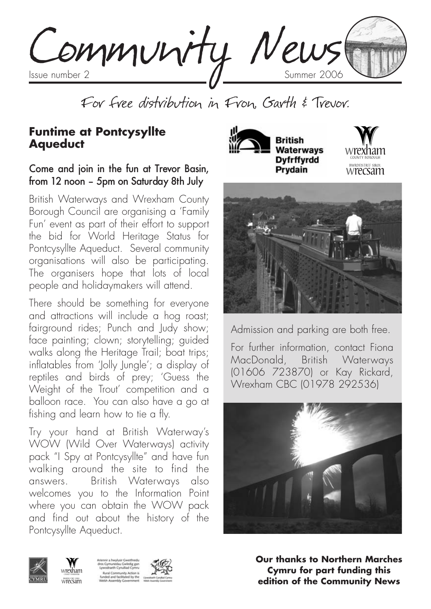Community News

For free distribution in Fron, Garth & Trevor.

#### **Funtime at Pontcysyllte Aqueduct**

#### Come and join in the fun at Trevor Basin, from 12 noon – 5pm on Saturday 8th July

British Waterways and Wrexham County Borough Council are organising a 'Family Fun' event as part of their effort to support the bid for World Heritage Status for Pontcysyllte Aqueduct. Several community organisations will also be participating. The organisers hope that lots of local people and holidaymakers will attend.

There should be something for everyone and attractions will include a hog roast; fairground rides; Punch and Judy show; face painting; clown; storytelling; guided walks along the Heritage Trail; boat trips; inflatables from 'Jolly Jungle'; a display of reptiles and birds of prey; 'Guess the Weight of the Trout' competition and a balloon race. You can also have a go at fishing and learn how to tie a fly.

Try your hand at British Waterway's WOW (Wild Over Waterways) activity pack "I Spy at Pontcysyllte" and have fun walking around the site to find the answers. British Waterways also welcomes you to the Information Point where you can obtain the WOW pack and find out about the history of the Pontcysyllte Aqueduct.







Admission and parking are both free.

For further information, contact Fiona MacDonald, British Waterways (01606 723870) or Kay Rickard, Wrexham CBC (01978 292536)





wrexham wrecam





**Our thanks to Northern Marches Cymru for part funding this edition of the Community News**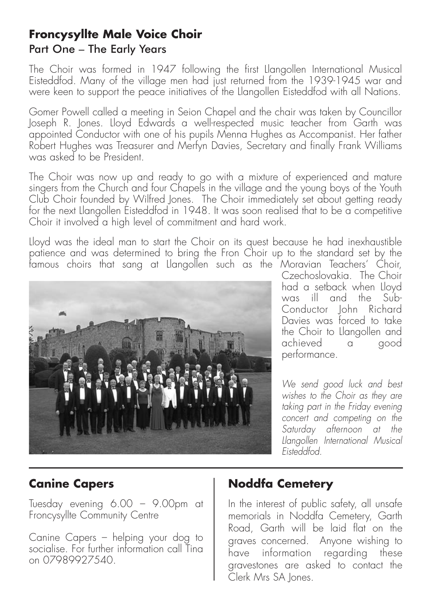### **Froncysyllte Male Voice Choir** Part One – The Early Years

The Choir was formed in 1947 following the first Llangollen International Musical Eisteddfod. Many of the village men had just returned from the 1939-1945 war and were keen to support the peace initiatives of the Llangollen Eisteddfod with all Nations.

Gomer Powell called a meeting in Seion Chapel and the chair was taken by Councillor Joseph R. Jones. Lloyd Edwards a well-respected music teacher from Garth was appointed Conductor with one of his pupils Menna Hughes as Accompanist. Her father Robert Hughes was Treasurer and Merfyn Davies, Secretary and finally Frank Williams was asked to be President.

The Choir was now up and ready to go with a mixture of experienced and mature singers from the Church and four Chapels in the village and the young boys of the Youth Club Choir founded by Wilfred Jones. The Choir immediately set about getting ready for the next Llangollen Eisteddfod in 1948. It was soon realised that to be a competitive Choir it involved a high level of commitment and hard work.

Lloyd was the ideal man to start the Choir on its quest because he had inexhaustible patience and was determined to bring the Fron Choir up to the standard set by the famous choirs that sang at Llangollen such as the Moravian Teachers' Choir,



Czechoslovakia. The Choir had a setback when Lloyd was ill and the Sub-Conductor John Richard Davies was forced to take the Choir to Llangollen and achieved a good performance.

*We send good luck and best wishes to the Choir as they are taking part in the Friday evening concert and competing on the Saturday afternoon at the Llangollen International Musical Eisteddfod.*

## **Canine Capers**

Tuesday evening 6.00 – 9.00pm at Froncysyllte Community Centre

Canine Capers – helping your dog to socialise. For further information call Tina on 07989927540.

### **Noddfa Cemetery**

In the interest of public safety, all unsafe memorials in Noddfa Cemetery, Garth Road, Garth will be laid flat on the graves concerned. Anyone wishing to have information regarding these gravestones are asked to contact the Clerk Mrs SA Jones.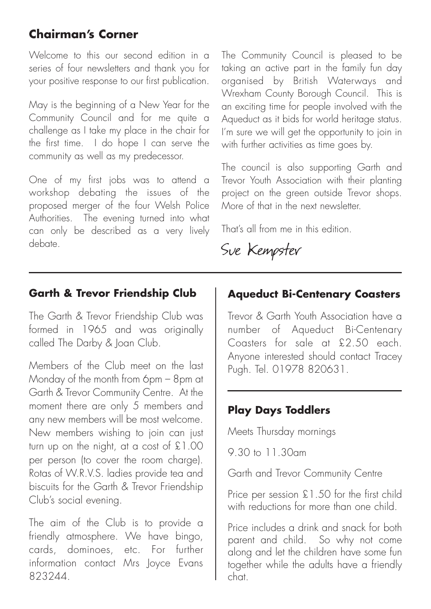## **Chairman's Corner**

Welcome to this our second edition in a series of four newsletters and thank you for your positive response to our first publication.

May is the beginning of a New Year for the Community Council and for me quite a challenge as I take my place in the chair for the first time. I do hope I can serve the community as well as my predecessor.

One of my first jobs was to attend a workshop debating the issues of the proposed merger of the four Welsh Police Authorities. The evening turned into what can only be described as a very lively debate.

The Community Council is pleased to be taking an active part in the family fun day organised by British Waterways and Wrexham County Borough Council. This is an exciting time for people involved with the Aqueduct as it bids for world heritage status. I'm sure we will get the opportunity to join in with further activities as time goes by.

The council is also supporting Garth and Trevor Youth Association with their planting project on the green outside Trevor shops. More of that in the next newsletter.

That's all from me in this edition.

Sue Kempster

#### **Garth & Trevor Friendship Club**

The Garth & Trevor Friendship Club was formed in 1965 and was originally called The Darby & Joan Club.

Members of the Club meet on the last Monday of the month from 6pm – 8pm at Garth & Trevor Community Centre. At the moment there are only 5 members and any new members will be most welcome. New members wishing to join can just turn up on the night, at a cost of £1.00 per person (to cover the room charge). Rotas of W.R.V.S. ladies provide tea and biscuits for the Garth & Trevor Friendship Club's social evening.

The aim of the Club is to provide a friendly atmosphere. We have bingo, cards, dominoes, etc. For further information contact Mrs Joyce Evans 823244.

### **Aqueduct Bi-Centenary Coasters**

Trevor & Garth Youth Association have a number of Aqueduct Bi-Centenary Coasters for sale at £2.50 each. Anyone interested should contact Tracey Pugh. Tel. 01978 820631.

### **Play Days Toddlers**

Meets Thursday mornings

9.30 to 11.30am

Garth and Trevor Community Centre

Price per session £1.50 for the first child with reductions for more than one child.

Price includes a drink and snack for both parent and child. So why not come along and let the children have some fun together while the adults have a friendly chat.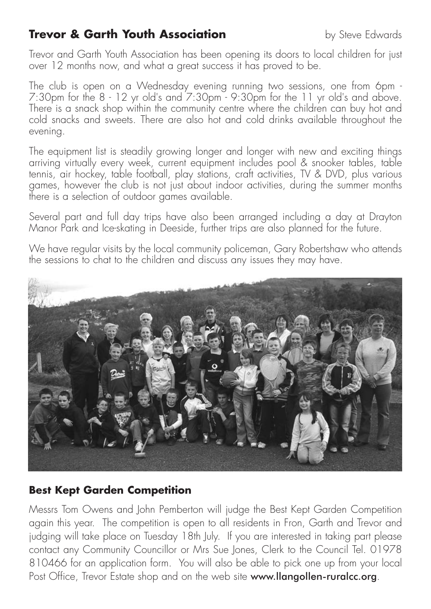## **Trevor & Garth Youth Association** by Steve Edwards

Trevor and Garth Youth Association has been opening its doors to local children for just over 12 months now, and what a great success it has proved to be.

The club is open on a Wednesday evening running two sessions, one from 6pm - 7:30pm for the 8 - 12 yr old's and 7:30pm - 9:30pm for the 11 yr old's and above. There is a snack shop within the community centre where the children can buy hot and cold snacks and sweets. There are also hot and cold drinks available throughout the evening.

The equipment list is steadily growing longer and longer with new and exciting things arriving virtually every week, current equipment includes pool & snooker tables, table tennis, air hockey, table football, play stations, craft activities, TV & DVD, plus various games, however the club is not just about indoor activities, during the summer months there is a selection of outdoor games available.

Several part and full day trips have also been arranged including a day at Drayton Manor Park and Ice-skating in Deeside, further trips are also planned for the future.

We have regular visits by the local community policeman, Gary Robertshaw who attends the sessions to chat to the children and discuss any issues they may have.



#### **Best Kept Garden Competition**

Messrs Tom Owens and John Pemberton will judge the Best Kept Garden Competition again this year. The competition is open to all residents in Fron, Garth and Trevor and judging will take place on Tuesday 18th July. If you are interested in taking part please contact any Community Councillor or Mrs Sue Jones, Clerk to the Council Tel. 01978 810466 for an application form. You will also be able to pick one up from your local Post Office, Trevor Estate shop and on the web site www.llangollen-ruralcc.org.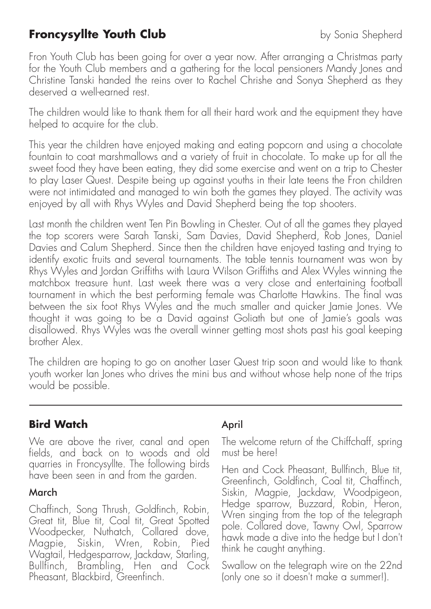## **Froncysyllte Youth Club** by Sonia Shepherd

Fron Youth Club has been going for over a year now. After arranging a Christmas party for the Youth Club members and a gathering for the local pensioners Mandy Jones and Christine Tanski handed the reins over to Rachel Chrishe and Sonya Shepherd as they deserved a well-earned rest.

The children would like to thank them for all their hard work and the equipment they have helped to acquire for the club.

This year the children have enjoyed making and eating popcorn and using a chocolate fountain to coat marshmallows and a variety of fruit in chocolate. To make up for all the sweet food they have been eating, they did some exercise and went on a trip to Chester to play Laser Quest. Despite being up against youths in their late teens the Fron children were not intimidated and managed to win both the games they played. The activity was enjoyed by all with Rhys Wyles and David Shepherd being the top shooters.

Last month the children went Ten Pin Bowling in Chester. Out of all the games they played the top scorers were Sarah Tanski, Sam Davies, David Shepherd, Rob Jones, Daniel Davies and Calum Shepherd. Since then the children have enjoyed tasting and trying to identify exotic fruits and several tournaments. The table tennis tournament was won by Rhys Wyles and Jordan Griffiths with Laura Wilson Griffiths and Alex Wyles winning the matchbox treasure hunt. Last week there was a very close and entertaining football tournament in which the best performing female was Charlotte Hawkins. The final was between the six foot Rhys Wyles and the much smaller and quicker Jamie Jones. We thought it was going to be a David against Goliath but one of Jamie's goals was disallowed. Rhys Wyles was the overall winner getting most shots past his goal keeping brother Alex.

The children are hoping to go on another Laser Quest trip soon and would like to thank youth worker Ian Jones who drives the mini bus and without whose help none of the trips would be possible.

### **Bird Watch**

We are above the river, canal and open fields, and back on to woods and old quarries in Froncysyllte. The following birds have been seen in and from the garden.

#### March

Chaffinch, Song Thrush, Goldfinch, Robin, Great tit, Blue tit, Coal tit, Great Spotted Woodpecker, Nuthatch, Collared dove, Magpie, Siskin, Wren, Robin, Pied Wagtail, Hedgesparrow, Jackdaw, Starling, Bullfinch, Brambling, Hen and Cock Pheasant, Blackbird, Greenfinch.

#### April

The welcome return of the Chiffchaff, spring must be here!

Hen and Cock Pheasant, Bullfinch, Blue tit, Greenfinch, Goldfinch, Coal tit, Chaffinch, Siskin, Magpie, Jackdaw, Woodpigeon, Hedge sparrow, Buzzard, Robin, Heron, Wren singing from the top of the telegraph pole. Collared dove, Tawny Owl, Sparrow hawk made a dive into the hedge but I don't think he caught anything.

Swallow on the telegraph wire on the 22nd (only one so it doesn't make a summer!).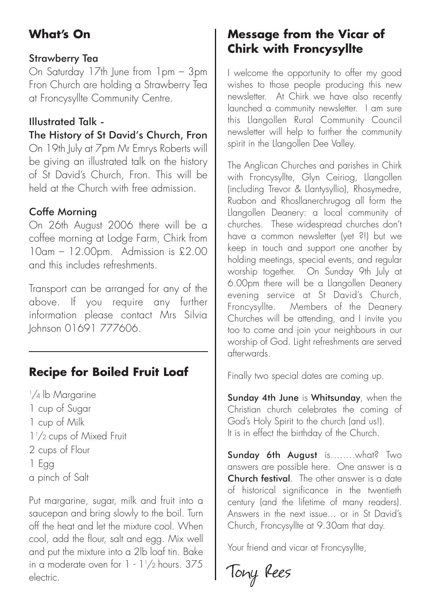# **What's On**

#### Strawberry Tea

On Saturday 17th June from 1pm – 3pm Fron Church are holding a Strawberry Tea at Froncysyllte Community Centre.

#### Illustrated Talk -

The History of St David's Church, Fron

On 19th July at 7pm Mr Emrys Roberts will be giving an illustrated talk on the history of St David's Church, Fron. This will be held at the Church with free admission.

#### Coffe Morning

On 26th August 2006 there will be a coffee morning at Lodge Farm, Chirk from 10am – 12.00pm. Admission is £2.00 and this includes refreshments.

Transport can be arranged for any of the above. If you require any further information please contact Mrs Silvia Johnson 01691 777606.

# **Recipe for Boiled Fruit Loaf**

1 /4 lb Margarine 1 cup of Sugar 1 cup of Milk 11 /2 cups of Mixed Fruit 2 cups of Flour 1 Egg a pinch of Salt

Put margarine, sugar, milk and fruit into a saucepan and bring slowly to the boil. Turn off the heat and let the mixture cool. When cool, add the flour, salt and egg. Mix well and put the mixture into a 2lb loaf tin. Bake in a moderate oven for  $1 \cdot 1'/2$  hours.  $375$ electric.

## **Message from the Vicar of Chirk with Froncysyllte**

I welcome the opportunity to offer my good wishes to those people producing this new newsletter. At Chirk we have also recently launched a community newsletter. I am sure this Llangollen Rural Community Council newsletter will help to further the community spirit in the Llangollen Dee Valley.

The Anglican Churches and parishes in Chirk with Froncysyllte, Glyn Ceiriog, Llangollen (including Trevor & Llantysyllio), Rhosymedre, Ruabon and Rhosllanerchrugog all form the Llangollen Deanery: a local community of churches. These widespread churches don't have a common newsletter (yet ?!) but we keep in touch and support one another by holding meetings, special events, and regular worship together. On Sunday 9th July at 6.00pm there will be a Llangollen Deanery evening service at St David's Church, Froncysyllte. Members of the Deanery Churches will be attending, and I invite you too to come and join your neighbours in our worship of God. Light refreshments are served afterwards.

Finally two special dates are coming up.

Sunday 4th June is Whitsunday, when the Christian church celebrates the coming of God's Holy Spirit to the church (and us!). It is in effect the birthday of the Church.

Sunday 6th August is........what? Two answers are possible here. One answer is a Church festival. The other answer is a date of historical significance in the twentieth century (and the lifetime of many readers). Answers in the next issue... or in St David's Church, Froncysyllte at 9.30am that day.

Your friend and vicar at Froncysvllte.

Tony Rees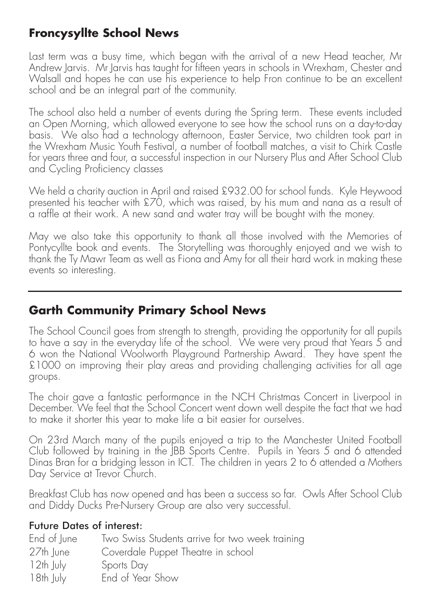## **Froncysyllte School News**

Last term was a busy time, which began with the arrival of a new Head teacher, Mr Andrew Jarvis. Mr Jarvis has taught for fifteen years in schools in Wrexham, Chester and Walsall and hopes he can use his experience to help Fron continue to be an excellent school and be an integral part of the community.

The school also held a number of events during the Spring term. These events included an Open Morning, which allowed everyone to see how the school runs on a day-to-day basis. We also had a technology afternoon, Easter Service, two children took part in the Wrexham Music Youth Festival, a number of football matches, a visit to Chirk Castle for years three and four, a successful inspection in our Nursery Plus and After School Club and Cycling Proficiency classes

We held a charity auction in April and raised £932.00 for school funds. Kyle Heywood presented his teacher with £70, which was raised, by his mum and nana as a result of a raffle at their work. A new sand and water tray will be bought with the money.

May we also take this opportunity to thank all those involved with the Memories of Pontycyllte book and events. The Storytelling was thoroughly enjoyed and we wish to thank the Ty Mawr Team as well as Fiona and Amy for all their hard work in making these events so interesting.

## **Garth Community Primary School News**

The School Council goes from strength to strength, providing the opportunity for all pupils to have a say in the everyday life of the school. We were very proud that Years 5 and 6 won the National Woolworth Playground Partnership Award. They have spent the £1000 on improving their play areas and providing challenging activities for all age groups.

The choir gave a fantastic performance in the NCH Christmas Concert in Liverpool in December. We feel that the School Concert went down well despite the fact that we had to make it shorter this year to make life a bit easier for ourselves.

On 23rd March many of the pupils enjoyed a trip to the Manchester United Football Club followed by training in the JBB Sports Centre. Pupils in Years 5 and 6 attended Dinas Bran for a bridging lesson in ICT. The children in years 2 to 6 attended a Mothers Day Service at Trevor Church.

Breakfast Club has now opened and has been a success so far. Owls After School Club and Diddy Ducks Pre-Nursery Group are also very successful.

#### Future Dates of interest:

| End of June | Two Swiss Students arrive for two week training |
|-------------|-------------------------------------------------|
| 27th June   | Coverdale Puppet Theatre in school              |
| $12th$ July | Sports Day                                      |
| 18th July   | End of Year Show                                |